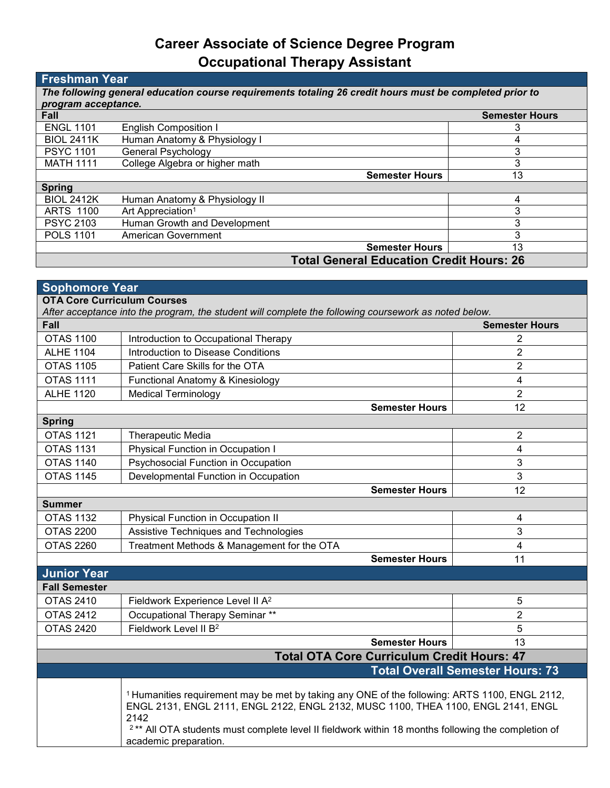## **Career Associate of Science Degree Program Occupational Therapy Assistant**

## **Freshman Year**

| The following general education course requirements totaling 26 credit hours must be completed prior to |                                |                       |  |
|---------------------------------------------------------------------------------------------------------|--------------------------------|-----------------------|--|
| program acceptance.                                                                                     |                                |                       |  |
| Fall                                                                                                    |                                | <b>Semester Hours</b> |  |
| <b>ENGL 1101</b>                                                                                        | <b>English Composition I</b>   |                       |  |
| <b>BIOL 2411K</b>                                                                                       | Human Anatomy & Physiology I   |                       |  |
| <b>PSYC 1101</b>                                                                                        | General Psychology             |                       |  |
| <b>MATH 1111</b>                                                                                        | College Algebra or higher math |                       |  |
|                                                                                                         | <b>Semester Hours</b>          | 13                    |  |
| <b>Spring</b>                                                                                           |                                |                       |  |
| <b>BIOL 2412K</b>                                                                                       | Human Anatomy & Physiology II  | Δ                     |  |
| <b>ARTS 1100</b>                                                                                        | Art Appreciation <sup>1</sup>  |                       |  |
| <b>PSYC 2103</b>                                                                                        | Human Growth and Development   | 3                     |  |
| <b>POLS 1101</b>                                                                                        | American Government            | 3                     |  |
|                                                                                                         | <b>Semester Hours</b>          | 13                    |  |
| <b>Total General Education Credit Hours: 26</b>                                                         |                                |                       |  |

| <b>Sophomore Year</b>                                                                                                                       |                                                                                                                                                                                                                                                                                                                                                 |                                         |  |  |
|---------------------------------------------------------------------------------------------------------------------------------------------|-------------------------------------------------------------------------------------------------------------------------------------------------------------------------------------------------------------------------------------------------------------------------------------------------------------------------------------------------|-----------------------------------------|--|--|
| <b>OTA Core Curriculum Courses</b><br>After acceptance into the program, the student will complete the following coursework as noted below. |                                                                                                                                                                                                                                                                                                                                                 |                                         |  |  |
| Fall                                                                                                                                        |                                                                                                                                                                                                                                                                                                                                                 | <b>Semester Hours</b>                   |  |  |
| <b>OTAS 1100</b>                                                                                                                            | Introduction to Occupational Therapy                                                                                                                                                                                                                                                                                                            | 2                                       |  |  |
| <b>ALHE 1104</b>                                                                                                                            | Introduction to Disease Conditions                                                                                                                                                                                                                                                                                                              | $\overline{2}$                          |  |  |
| <b>OTAS 1105</b>                                                                                                                            | Patient Care Skills for the OTA                                                                                                                                                                                                                                                                                                                 | $\overline{2}$                          |  |  |
| <b>OTAS 1111</b>                                                                                                                            | Functional Anatomy & Kinesiology                                                                                                                                                                                                                                                                                                                | $\overline{\mathbf{4}}$                 |  |  |
| <b>ALHE 1120</b>                                                                                                                            | <b>Medical Terminology</b>                                                                                                                                                                                                                                                                                                                      | $\overline{2}$                          |  |  |
|                                                                                                                                             | <b>Semester Hours</b>                                                                                                                                                                                                                                                                                                                           | 12                                      |  |  |
| <b>Spring</b>                                                                                                                               |                                                                                                                                                                                                                                                                                                                                                 |                                         |  |  |
| <b>OTAS 1121</b>                                                                                                                            | <b>Therapeutic Media</b>                                                                                                                                                                                                                                                                                                                        | $\overline{2}$                          |  |  |
| <b>OTAS 1131</b>                                                                                                                            | Physical Function in Occupation I                                                                                                                                                                                                                                                                                                               | 4                                       |  |  |
| <b>OTAS 1140</b>                                                                                                                            | Psychosocial Function in Occupation                                                                                                                                                                                                                                                                                                             | 3                                       |  |  |
| <b>OTAS 1145</b>                                                                                                                            | Developmental Function in Occupation                                                                                                                                                                                                                                                                                                            | $\mathfrak{S}$                          |  |  |
|                                                                                                                                             | <b>Semester Hours</b>                                                                                                                                                                                                                                                                                                                           | 12                                      |  |  |
| <b>Summer</b>                                                                                                                               |                                                                                                                                                                                                                                                                                                                                                 |                                         |  |  |
| <b>OTAS 1132</b>                                                                                                                            | Physical Function in Occupation II                                                                                                                                                                                                                                                                                                              | 4                                       |  |  |
| <b>OTAS 2200</b>                                                                                                                            | Assistive Techniques and Technologies                                                                                                                                                                                                                                                                                                           | 3                                       |  |  |
| <b>OTAS 2260</b>                                                                                                                            | Treatment Methods & Management for the OTA                                                                                                                                                                                                                                                                                                      | $\overline{4}$                          |  |  |
|                                                                                                                                             | <b>Semester Hours</b>                                                                                                                                                                                                                                                                                                                           | 11                                      |  |  |
| <b>Junior Year</b>                                                                                                                          |                                                                                                                                                                                                                                                                                                                                                 |                                         |  |  |
| <b>Fall Semester</b>                                                                                                                        |                                                                                                                                                                                                                                                                                                                                                 |                                         |  |  |
| <b>OTAS 2410</b>                                                                                                                            | Fieldwork Experience Level II A <sup>2</sup>                                                                                                                                                                                                                                                                                                    | 5                                       |  |  |
| <b>OTAS 2412</b>                                                                                                                            | Occupational Therapy Seminar **                                                                                                                                                                                                                                                                                                                 | $\overline{2}$                          |  |  |
| <b>OTAS 2420</b>                                                                                                                            | Fieldwork Level II B <sup>2</sup>                                                                                                                                                                                                                                                                                                               | 5                                       |  |  |
|                                                                                                                                             | <b>Semester Hours</b>                                                                                                                                                                                                                                                                                                                           | 13                                      |  |  |
|                                                                                                                                             | <b>Total OTA Core Curriculum Credit Hours: 47</b>                                                                                                                                                                                                                                                                                               |                                         |  |  |
|                                                                                                                                             |                                                                                                                                                                                                                                                                                                                                                 | <b>Total Overall Semester Hours: 73</b> |  |  |
|                                                                                                                                             | <sup>1</sup> Humanities requirement may be met by taking any ONE of the following: ARTS 1100, ENGL 2112,<br>ENGL 2131, ENGL 2111, ENGL 2122, ENGL 2132, MUSC 1100, THEA 1100, ENGL 2141, ENGL<br>2142<br><sup>2**</sup> All OTA students must complete level II fieldwork within 18 months following the completion of<br>academic preparation. |                                         |  |  |